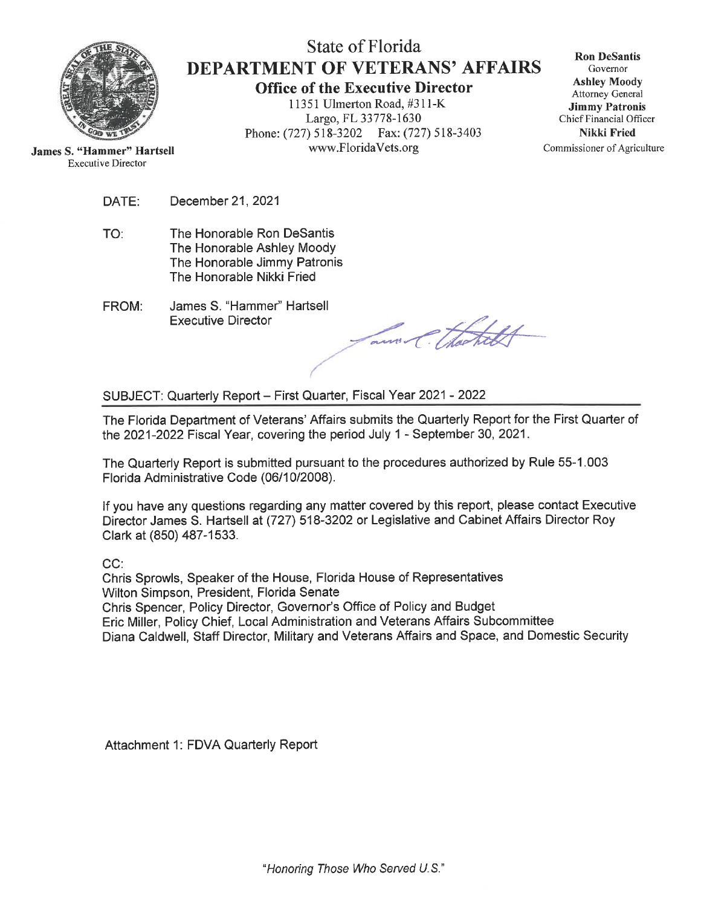

State of Florida **DEPARTMENT OF VETERANS' AFFAIRS Office of the Executive Director** 

11351 Ulmerton Road, #311-K Largo, FL 33778-1630 Phone: (727) 518-3202 Fax: (727) 518-3403 www.FloridaVets.org

**Ron DeSantis** Governor **Ashley Moody** Attorney General **Jimmy Patronis** Chief Financial Officer **Nikki Fried** Commissioner of Agriculture

**James S. "Hammer" Hartsell Executive Director** 

> DATE: December 21, 2021

- The Honorable Ron DeSantis TO: The Honorable Ashley Moody The Honorable Jimmy Patronis The Honorable Nikki Fried
- James S. "Hammer" Hartsell FROM: **Executive Director**

am Chatch

SUBJECT: Quarterly Report - First Quarter, Fiscal Year 2021 - 2022

The Florida Department of Veterans' Affairs submits the Quarterly Report for the First Quarter of the 2021-2022 Fiscal Year, covering the period July 1 - September 30, 2021.

The Quarterly Report is submitted pursuant to the procedures authorized by Rule 55-1.003 Florida Administrative Code (06/10/2008).

If you have any questions regarding any matter covered by this report, please contact Executive Director James S. Hartsell at (727) 518-3202 or Legislative and Cabinet Affairs Director Roy Clark at (850) 487-1533.

 $CC:$ 

Chris Sprowls, Speaker of the House, Florida House of Representatives Wilton Simpson, President, Florida Senate Chris Spencer, Policy Director, Governor's Office of Policy and Budget Eric Miller, Policy Chief, Local Administration and Veterans Affairs Subcommittee Diana Caldwell, Staff Director, Military and Veterans Affairs and Space, and Domestic Security

Attachment 1: FDVA Quarterly Report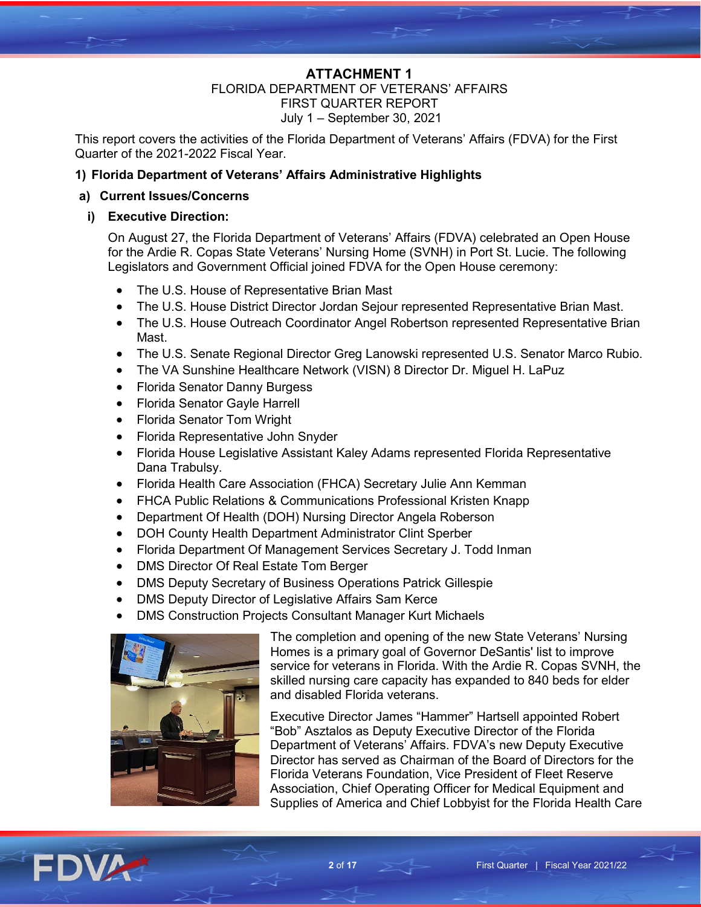#### **ATTACHMENT 1** FLORIDA DEPARTMENT OF VETERANS' AFFAIRS FIRST QUARTER REPORT July 1 – September 30, 2021

This report covers the activities of the Florida Department of Veterans' Affairs (FDVA) for the First Quarter of the 2021-2022 Fiscal Year.

# **1) Florida Department of Veterans' Affairs Administrative Highlights**

# **a) Current Issues/Concerns**

# **i) Executive Direction:**

On August 27, the Florida Department of Veterans' Affairs (FDVA) celebrated an Open House for the Ardie R. Copas State Veterans' Nursing Home (SVNH) in Port St. Lucie. The following Legislators and Government Official joined FDVA for the Open House ceremony:

- The U.S. House of Representative Brian Mast
- The U.S. House District Director Jordan Sejour represented Representative Brian Mast.
- The U.S. House Outreach Coordinator Angel Robertson represented Representative Brian Mast.
- The U.S. Senate Regional Director Greg Lanowski represented U.S. Senator Marco Rubio.
- The VA Sunshine Healthcare Network (VISN) 8 Director Dr. Miguel H. LaPuz
- Florida Senator Danny Burgess
- Florida Senator Gayle Harrell
- Florida Senator Tom Wright
- Florida Representative John Snyder
- Florida House Legislative Assistant Kaley Adams represented Florida Representative Dana Trabulsy.
- Florida Health Care Association (FHCA) Secretary Julie Ann Kemman
- FHCA Public Relations & Communications Professional Kristen Knapp
- Department Of Health (DOH) Nursing Director Angela Roberson
- DOH County Health Department Administrator Clint Sperber
- Florida Department Of Management Services Secretary J. Todd Inman
- DMS Director Of Real Estate Tom Berger
- DMS Deputy Secretary of Business Operations Patrick Gillespie
- DMS Deputy Director of Legislative Affairs Sam Kerce
- DMS Construction Projects Consultant Manager Kurt Michaels



The completion and opening of the new State Veterans' Nursing Homes is a primary goal of Governor DeSantis' list to improve service for veterans in Florida. With the Ardie R. Copas SVNH, the skilled nursing care capacity has expanded to 840 beds for elder and disabled Florida veterans.

Executive Director James "Hammer" Hartsell appointed Robert "Bob" Asztalos as Deputy Executive Director of the Florida Department of Veterans' Affairs. FDVA's new Deputy Executive Director has served as Chairman of the Board of Directors for the Florida Veterans Foundation, Vice President of Fleet Reserve Association, Chief Operating Officer for Medical Equipment and Supplies of America and Chief Lobbyist for the Florida Health Care

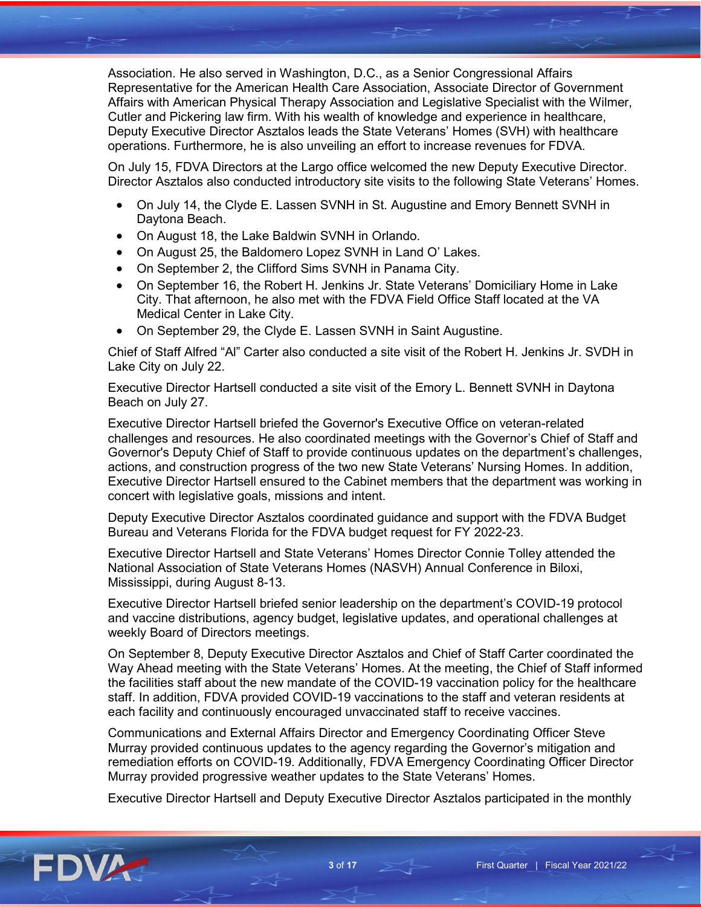Association. He also served in Washington, D.C., as a Senior Congressional Affairs Representative for the American Health Care Association, Associate Director of Government Affairs with American Physical Therapy Association and Legislative Specialist with the Wilmer, Cutler and Pickering law firm. With his wealth of knowledge and experience in healthcare, Deputy Executive Director Asztalos leads the State Veterans' Homes (SVH) with healthcare operations. Furthermore, he is also unveiling an effort to increase revenues for FDVA.

On July 15, FDVA Directors at the Largo office welcomed the new Deputy Executive Director. Director Asztalos also conducted introductory site visits to the following State Veterans' Homes.

- On July 14, the Clyde E. Lassen SVNH in St. Augustine and Emory Bennett SVNH in Daytona Beach.
- On August 18, the Lake Baldwin SVNH in Orlando.
- On August 25, the Baldomero Lopez SVNH in Land O' Lakes.
- On September 2, the Clifford Sims SVNH in Panama City.
- On September 16, the Robert H. Jenkins Jr. State Veterans' Domiciliary Home in Lake City. That afternoon, he also met with the FDVA Field Office Staff located at the VA Medical Center in Lake City.
- On September 29, the Clyde E. Lassen SVNH in Saint Augustine.

Chief of Staff Alfred "Al" Carter also conducted a site visit of the Robert H. Jenkins Jr. SVDH in Lake City on July 22.

Executive Director Hartsell conducted a site visit of the Emory L. Bennett SVNH in Daytona Beach on July 27.

Executive Director Hartsell briefed the Governor's Executive Office on veteran-related challenges and resources. He also coordinated meetings with the Governor's Chief of Staff and Governor's Deputy Chief of Staff to provide continuous updates on the department's challenges, actions, and construction progress of the two new State Veterans' Nursing Homes. In addition, Executive Director Hartsell ensured to the Cabinet members that the department was working in concert with legislative goals, missions and intent.

Deputy Executive Director Asztalos coordinated guidance and support with the FDVA Budget Bureau and Veterans Florida for the FDVA budget request for FY 2022-23.

Executive Director Hartsell and State Veterans' Homes Director Connie Tolley attended the National Association of State Veterans Homes (NASVH) Annual Conference in Biloxi, Mississippi, during August 8-13.

Executive Director Hartsell briefed senior leadership on the department's COVID-19 protocol and vaccine distributions, agency budget, legislative updates, and operational challenges at weekly Board of Directors meetings.

On September 8, Deputy Executive Director Asztalos and Chief of Staff Carter coordinated the Way Ahead meeting with the State Veterans' Homes. At the meeting, the Chief of Staff informed the facilities staff about the new mandate of the COVID-19 vaccination policy for the healthcare staff. In addition, FDVA provided COVID-19 vaccinations to the staff and veteran residents at each facility and continuously encouraged unvaccinated staff to receive vaccines.

Communications and External Affairs Director and Emergency Coordinating Officer Steve Murray provided continuous updates to the agency regarding the Governor's mitigation and remediation efforts on COVID-19. Additionally, FDVA Emergency Coordinating Officer Director Murray provided progressive weather updates to the State Veterans' Homes.

Executive Director Hartsell and Deputy Executive Director Asztalos participated in the monthly

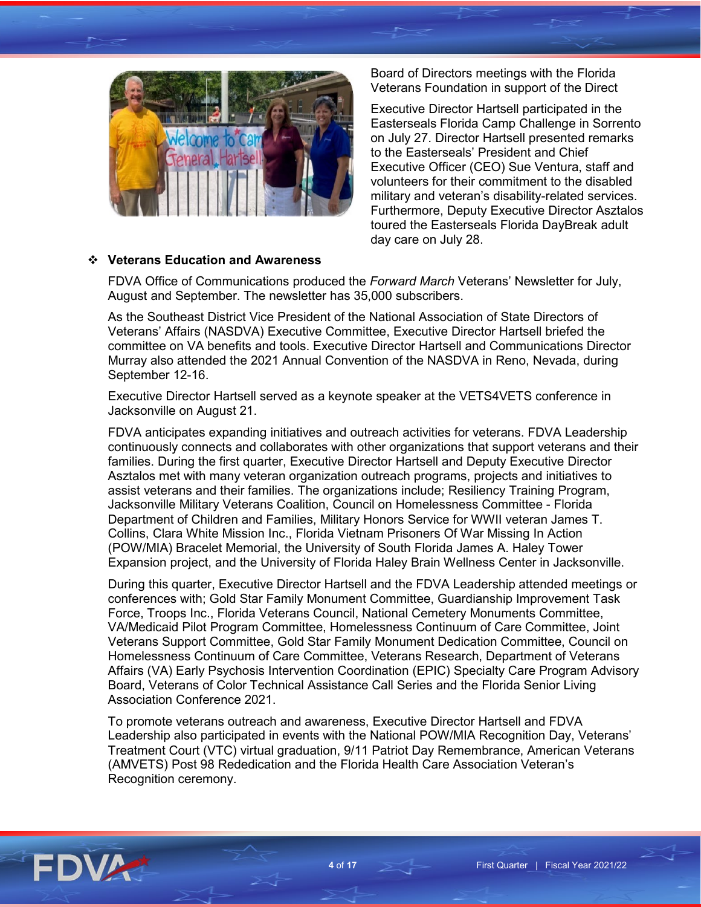

Board of Directors meetings with the Florida Veterans Foundation in support of the Direct

Executive Director Hartsell participated in the Easterseals Florida Camp Challenge in Sorrento on July 27. Director Hartsell presented remarks to the Easterseals' President and Chief Executive Officer (CEO) Sue Ventura, staff and volunteers for their commitment to the disabled military and veteran's disability-related services. Furthermore, Deputy Executive Director Asztalos toured the Easterseals Florida DayBreak adult day care on July 28.

### **Veterans Education and Awareness**

FDVA Office of Communications produced the *Forward March* Veterans' Newsletter for July, August and September. The newsletter has 35,000 subscribers.

As the Southeast District Vice President of the National Association of State Directors of Veterans' Affairs (NASDVA) Executive Committee, Executive Director Hartsell briefed the committee on VA benefits and tools. Executive Director Hartsell and Communications Director Murray also attended the 2021 Annual Convention of the NASDVA in Reno, Nevada, during September 12-16.

Executive Director Hartsell served as a keynote speaker at the VETS4VETS conference in Jacksonville on August 21.

FDVA anticipates expanding initiatives and outreach activities for veterans. FDVA Leadership continuously connects and collaborates with other organizations that support veterans and their families. During the first quarter, Executive Director Hartsell and Deputy Executive Director Asztalos met with many veteran organization outreach programs, projects and initiatives to assist veterans and their families. The organizations include; Resiliency Training Program, Jacksonville Military Veterans Coalition, Council on Homelessness Committee - Florida Department of Children and Families, Military Honors Service for WWII veteran James T. Collins, Clara White Mission Inc., Florida Vietnam Prisoners Of War Missing In Action (POW/MIA) Bracelet Memorial, the University of South Florida James A. Haley Tower Expansion project, and the University of Florida Haley Brain Wellness Center in Jacksonville.

During this quarter, Executive Director Hartsell and the FDVA Leadership attended meetings or conferences with; Gold Star Family Monument Committee, Guardianship Improvement Task Force, Troops Inc., Florida Veterans Council, National Cemetery Monuments Committee, VA/Medicaid Pilot Program Committee, Homelessness Continuum of Care Committee, Joint Veterans Support Committee, Gold Star Family Monument Dedication Committee, Council on Homelessness Continuum of Care Committee, Veterans Research, Department of Veterans Affairs (VA) Early Psychosis Intervention Coordination (EPIC) Specialty Care Program Advisory Board, Veterans of Color Technical Assistance Call Series and the Florida Senior Living Association Conference 2021.

To promote veterans outreach and awareness, Executive Director Hartsell and FDVA Leadership also participated in events with the National POW/MIA Recognition Day, Veterans' Treatment Court (VTC) virtual graduation, 9/11 Patriot Day Remembrance, American Veterans (AMVETS) Post 98 Rededication and the Florida Health Care Association Veteran's Recognition ceremony.

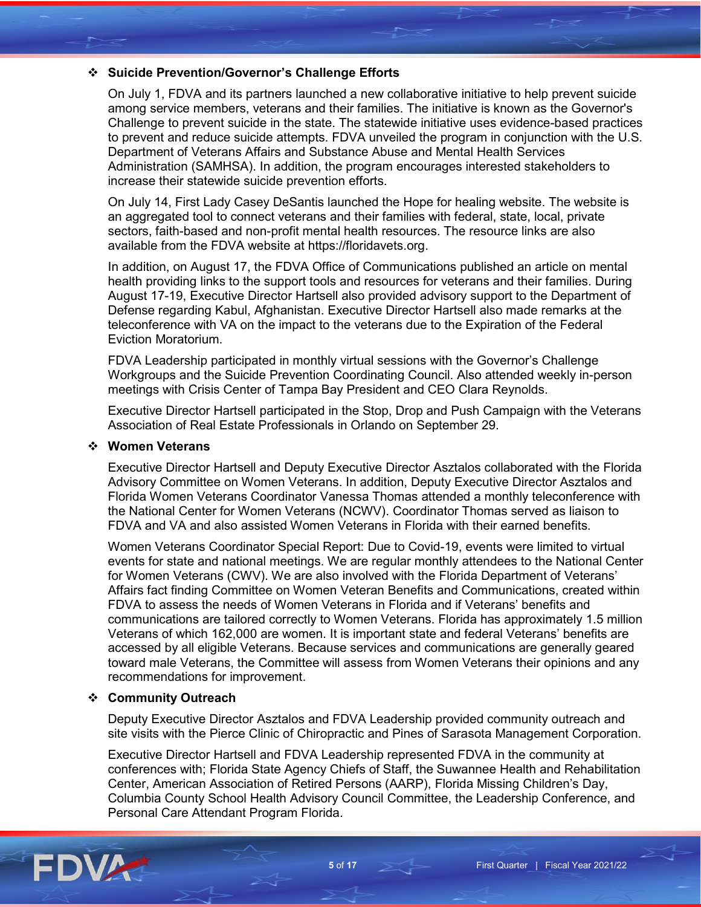# **Suicide Prevention/Governor's Challenge Efforts**

On July 1, FDVA and its partners launched a new collaborative initiative to help prevent suicide among service members, veterans and their families. The initiative is known as the Governor's Challenge to prevent suicide in the state. The statewide initiative uses evidence-based practices to prevent and reduce suicide attempts. FDVA unveiled the program in conjunction with the U.S. Department of Veterans Affairs and Substance Abuse and Mental Health Services Administration (SAMHSA). In addition, the program encourages interested stakeholders to increase their statewide suicide prevention efforts.

On July 14, First Lady Casey DeSantis launched the Hope for healing website. The website is an aggregated tool to connect veterans and their families with federal, state, local, private sectors, faith-based and non-profit mental health resources. The resource links are also available from the FDVA website at https://floridavets.org.

In addition, on August 17, the FDVA Office of Communications published an article on mental health providing links to the support tools and resources for veterans and their families. During August 17-19, Executive Director Hartsell also provided advisory support to the Department of Defense regarding Kabul, Afghanistan. Executive Director Hartsell also made remarks at the teleconference with VA on the impact to the veterans due to the Expiration of the Federal Eviction Moratorium.

FDVA Leadership participated in monthly virtual sessions with the Governor's Challenge Workgroups and the Suicide Prevention Coordinating Council. Also attended weekly in-person meetings with Crisis Center of Tampa Bay President and CEO Clara Reynolds.

Executive Director Hartsell participated in the Stop, Drop and Push Campaign with the Veterans Association of Real Estate Professionals in Orlando on September 29.

#### **Women Veterans**

Executive Director Hartsell and Deputy Executive Director Asztalos collaborated with the Florida Advisory Committee on Women Veterans. In addition, Deputy Executive Director Asztalos and Florida Women Veterans Coordinator Vanessa Thomas attended a monthly teleconference with the National Center for Women Veterans (NCWV). Coordinator Thomas served as liaison to FDVA and VA and also assisted Women Veterans in Florida with their earned benefits.

Women Veterans Coordinator Special Report: Due to Covid-19, events were limited to virtual events for state and national meetings. We are regular monthly attendees to the National Center for Women Veterans (CWV). We are also involved with the Florida Department of Veterans' Affairs fact finding Committee on Women Veteran Benefits and Communications, created within FDVA to assess the needs of Women Veterans in Florida and if Veterans' benefits and communications are tailored correctly to Women Veterans. Florida has approximately 1.5 million Veterans of which 162,000 are women. It is important state and federal Veterans' benefits are accessed by all eligible Veterans. Because services and communications are generally geared toward male Veterans, the Committee will assess from Women Veterans their opinions and any recommendations for improvement.

#### **Community Outreach**

Deputy Executive Director Asztalos and FDVA Leadership provided community outreach and site visits with the Pierce Clinic of Chiropractic and Pines of Sarasota Management Corporation.

Executive Director Hartsell and FDVA Leadership represented FDVA in the community at conferences with; Florida State Agency Chiefs of Staff, the Suwannee Health and Rehabilitation Center, American Association of Retired Persons (AARP), Florida Missing Children's Day, Columbia County School Health Advisory Council Committee, the Leadership Conference, and Personal Care Attendant Program Florida.

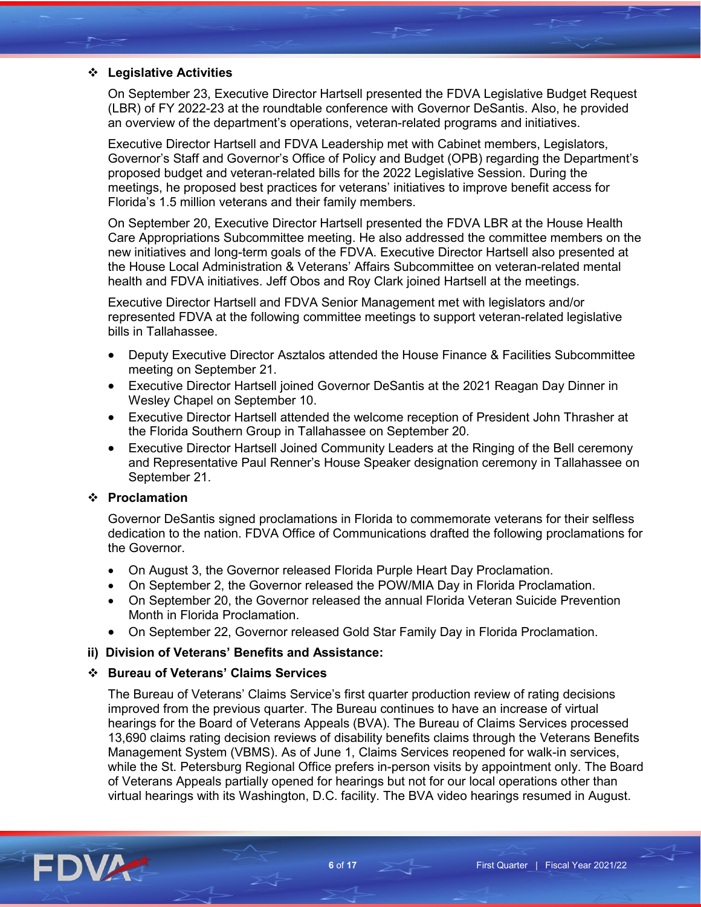# **Legislative Activities**

On September 23, Executive Director Hartsell presented the FDVA Legislative Budget Request (LBR) of FY 2022-23 at the roundtable conference with Governor DeSantis. Also, he provided an overview of the department's operations, veteran-related programs and initiatives.

Executive Director Hartsell and FDVA Leadership met with Cabinet members, Legislators, Governor's Staff and Governor's Office of Policy and Budget (OPB) regarding the Department's proposed budget and veteran-related bills for the 2022 Legislative Session. During the meetings, he proposed best practices for veterans' initiatives to improve benefit access for Florida's 1.5 million veterans and their family members.

On September 20, Executive Director Hartsell presented the FDVA LBR at the House Health Care Appropriations Subcommittee meeting. He also addressed the committee members on the new initiatives and long-term goals of the FDVA. Executive Director Hartsell also presented at the House Local Administration & Veterans' Affairs Subcommittee on veteran-related mental health and FDVA initiatives. Jeff Obos and Roy Clark joined Hartsell at the meetings.

Executive Director Hartsell and FDVA Senior Management met with legislators and/or represented FDVA at the following committee meetings to support veteran-related legislative bills in Tallahassee.

- Deputy Executive Director Asztalos attended the House Finance & Facilities Subcommittee meeting on September 21.
- Executive Director Hartsell joined Governor DeSantis at the 2021 Reagan Day Dinner in Wesley Chapel on September 10.
- Executive Director Hartsell attended the welcome reception of President John Thrasher at the Florida Southern Group in Tallahassee on September 20.
- Executive Director Hartsell Joined Community Leaders at the Ringing of the Bell ceremony and Representative Paul Renner's House Speaker designation ceremony in Tallahassee on September 21.

### **Proclamation**

Governor DeSantis signed proclamations in Florida to commemorate veterans for their selfless dedication to the nation. FDVA Office of Communications drafted the following proclamations for the Governor.

- On August 3, the Governor released Florida Purple Heart Day Proclamation.
- On September 2, the Governor released the POW/MIA Day in Florida Proclamation.
- On September 20, the Governor released the annual Florida Veteran Suicide Prevention Month in Florida Proclamation.
- On September 22, Governor released Gold Star Family Day in Florida Proclamation.

#### **ii) Division of Veterans' Benefits and Assistance:**

#### **Bureau of Veterans' Claims Services**

The Bureau of Veterans' Claims Service's first quarter production review of rating decisions improved from the previous quarter. The Bureau continues to have an increase of virtual hearings for the Board of Veterans Appeals (BVA). The Bureau of Claims Services processed 13,690 claims rating decision reviews of disability benefits claims through the Veterans Benefits Management System (VBMS). As of June 1, Claims Services reopened for walk-in services, while the St. Petersburg Regional Office prefers in-person visits by appointment only. The Board of Veterans Appeals partially opened for hearings but not for our local operations other than virtual hearings with its Washington, D.C. facility. The BVA video hearings resumed in August.

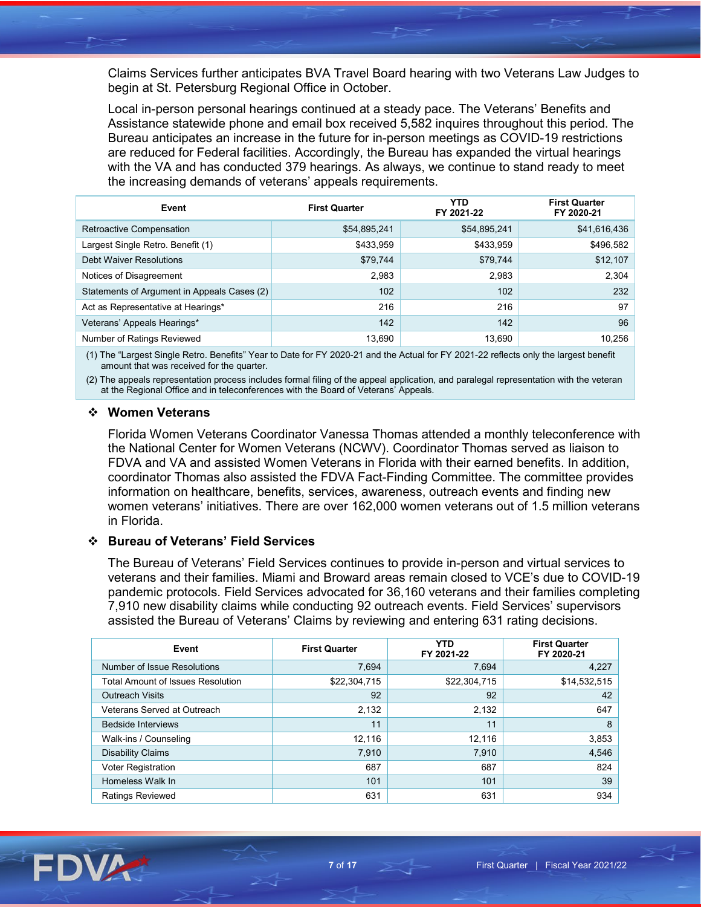Claims Services further anticipates BVA Travel Board hearing with two Veterans Law Judges to begin at St. Petersburg Regional Office in October.

Local in-person personal hearings continued at a steady pace. The Veterans' Benefits and Assistance statewide phone and email box received 5,582 inquires throughout this period. The Bureau anticipates an increase in the future for in-person meetings as COVID-19 restrictions are reduced for Federal facilities. Accordingly, the Bureau has expanded the virtual hearings with the VA and has conducted 379 hearings. As always, we continue to stand ready to meet the increasing demands of veterans' appeals requirements.

| Event                                       | <b>First Quarter</b> | <b>YTD</b><br>FY 2021-22 | <b>First Quarter</b><br>FY 2020-21 |
|---------------------------------------------|----------------------|--------------------------|------------------------------------|
| Retroactive Compensation                    | \$54,895,241         | \$54,895,241             | \$41,616,436                       |
| Largest Single Retro. Benefit (1)           | \$433,959            | \$433,959                | \$496,582                          |
| Debt Waiver Resolutions                     | \$79,744             | \$79,744                 | \$12,107                           |
| Notices of Disagreement                     | 2.983                | 2.983                    | 2,304                              |
| Statements of Argument in Appeals Cases (2) | 102                  | 102                      | 232                                |
| Act as Representative at Hearings*          | 216                  | 216                      | 97                                 |
| Veterans' Appeals Hearings*                 | 142                  | 142                      | 96                                 |
| Number of Ratings Reviewed                  | 13.690               | 13,690                   | 10,256                             |

(1) The "Largest Single Retro. Benefits" Year to Date for FY 2020-21 and the Actual for FY 2021-22 reflects only the largest benefit amount that was received for the quarter.

(2) The appeals representation process includes formal filing of the appeal application, and paralegal representation with the veteran at the Regional Office and in teleconferences with the Board of Veterans' Appeals.

#### **Women Veterans**

Florida Women Veterans Coordinator Vanessa Thomas attended a monthly teleconference with the National Center for Women Veterans (NCWV). Coordinator Thomas served as liaison to FDVA and VA and assisted Women Veterans in Florida with their earned benefits. In addition, coordinator Thomas also assisted the FDVA Fact-Finding Committee. The committee provides information on healthcare, benefits, services, awareness, outreach events and finding new women veterans' initiatives. There are over 162,000 women veterans out of 1.5 million veterans in Florida.

#### **Bureau of Veterans' Field Services**

The Bureau of Veterans' Field Services continues to provide in-person and virtual services to veterans and their families. Miami and Broward areas remain closed to VCE's due to COVID-19 pandemic protocols. Field Services advocated for 36,160 veterans and their families completing 7,910 new disability claims while conducting 92 outreach events. Field Services' supervisors assisted the Bureau of Veterans' Claims by reviewing and entering 631 rating decisions.

| Event                                    | <b>First Quarter</b> | <b>YTD</b><br>FY 2021-22 | <b>First Quarter</b><br>FY 2020-21 |
|------------------------------------------|----------------------|--------------------------|------------------------------------|
| Number of Issue Resolutions              | 7.694                | 7.694                    | 4,227                              |
| <b>Total Amount of Issues Resolution</b> | \$22,304,715         | \$22,304,715             | \$14,532,515                       |
| <b>Outreach Visits</b>                   | 92                   | 92                       | 42                                 |
| Veterans Served at Outreach              | 2.132                | 2,132                    | 647                                |
| <b>Bedside Interviews</b>                | 11                   | 11                       | 8                                  |
| Walk-ins / Counseling                    | 12.116               | 12.116                   | 3,853                              |
| <b>Disability Claims</b>                 | 7.910                | 7,910                    | 4,546                              |
| <b>Voter Registration</b>                | 687                  | 687                      | 824                                |
| Homeless Walk In                         | 101                  | 101                      | 39                                 |
| <b>Ratings Reviewed</b>                  | 631                  | 631                      | 934                                |

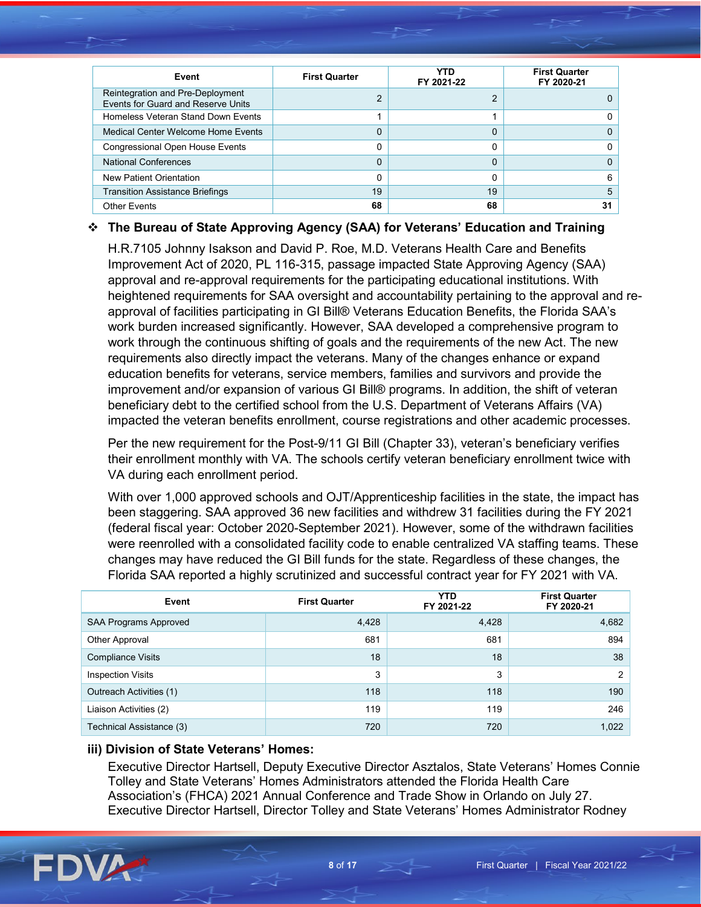| Event                                                                  | <b>First Quarter</b> | YTD<br>FY 2021-22 | <b>First Quarter</b><br>FY 2020-21 |
|------------------------------------------------------------------------|----------------------|-------------------|------------------------------------|
| Reintegration and Pre-Deployment<br>Events for Guard and Reserve Units | 2                    | っ                 |                                    |
| Homeless Veteran Stand Down Events                                     |                      |                   |                                    |
| Medical Center Welcome Home Fyents                                     | 0                    | $\Omega$          |                                    |
| <b>Congressional Open House Events</b>                                 | 0                    | 0                 |                                    |
| <b>National Conferences</b>                                            | 0                    | 0                 |                                    |
| New Patient Orientation                                                | 0                    | 0                 | 6                                  |
| <b>Transition Assistance Briefings</b>                                 | 19                   | 19                | 5                                  |
| <b>Other Events</b>                                                    | 68                   | 68                | 31                                 |

# **The Bureau of State Approving Agency (SAA) for Veterans' Education and Training**

H.R.7105 Johnny Isakson and David P. Roe, M.D. Veterans Health Care and Benefits Improvement Act of 2020, PL 116-315, passage impacted State Approving Agency (SAA) approval and re-approval requirements for the participating educational institutions. With heightened requirements for SAA oversight and accountability pertaining to the approval and reapproval of facilities participating in GI Bill® Veterans Education Benefits, the Florida SAA's work burden increased significantly. However, SAA developed a comprehensive program to work through the continuous shifting of goals and the requirements of the new Act. The new requirements also directly impact the veterans. Many of the changes enhance or expand education benefits for veterans, service members, families and survivors and provide the improvement and/or expansion of various GI Bill® programs. In addition, the shift of veteran beneficiary debt to the certified school from the U.S. Department of Veterans Affairs (VA) impacted the veteran benefits enrollment, course registrations and other academic processes.

Per the new requirement for the Post-9/11 GI Bill (Chapter 33), veteran's beneficiary verifies their enrollment monthly with VA. The schools certify veteran beneficiary enrollment twice with VA during each enrollment period.

With over 1,000 approved schools and OJT/Apprenticeship facilities in the state, the impact has been staggering. SAA approved 36 new facilities and withdrew 31 facilities during the FY 2021 (federal fiscal year: October 2020-September 2021). However, some of the withdrawn facilities were reenrolled with a consolidated facility code to enable centralized VA staffing teams. These changes may have reduced the GI Bill funds for the state. Regardless of these changes, the Florida SAA reported a highly scrutinized and successful contract year for FY 2021 with VA.

| Event                        | <b>First Quarter</b> | <b>YTD</b><br>FY 2021-22 | <b>First Quarter</b><br>FY 2020-21 |
|------------------------------|----------------------|--------------------------|------------------------------------|
| <b>SAA Programs Approved</b> | 4,428                | 4,428                    | 4,682                              |
| Other Approval               | 681                  | 681                      | 894                                |
| <b>Compliance Visits</b>     | 18                   | 18                       | 38                                 |
| <b>Inspection Visits</b>     | 3                    | 3                        | 2                                  |
| Outreach Activities (1)      | 118                  | 118                      | 190                                |
| Liaison Activities (2)       | 119                  | 119                      | 246                                |
| Technical Assistance (3)     | 720                  | 720                      | 1,022                              |

# **iii) Division of State Veterans' Homes:**

Executive Director Hartsell, Deputy Executive Director Asztalos, State Veterans' Homes Connie Tolley and State Veterans' Homes Administrators attended the Florida Health Care Association's (FHCA) 2021 Annual Conference and Trade Show in Orlando on July 27. Executive Director Hartsell, Director Tolley and State Veterans' Homes Administrator Rodney

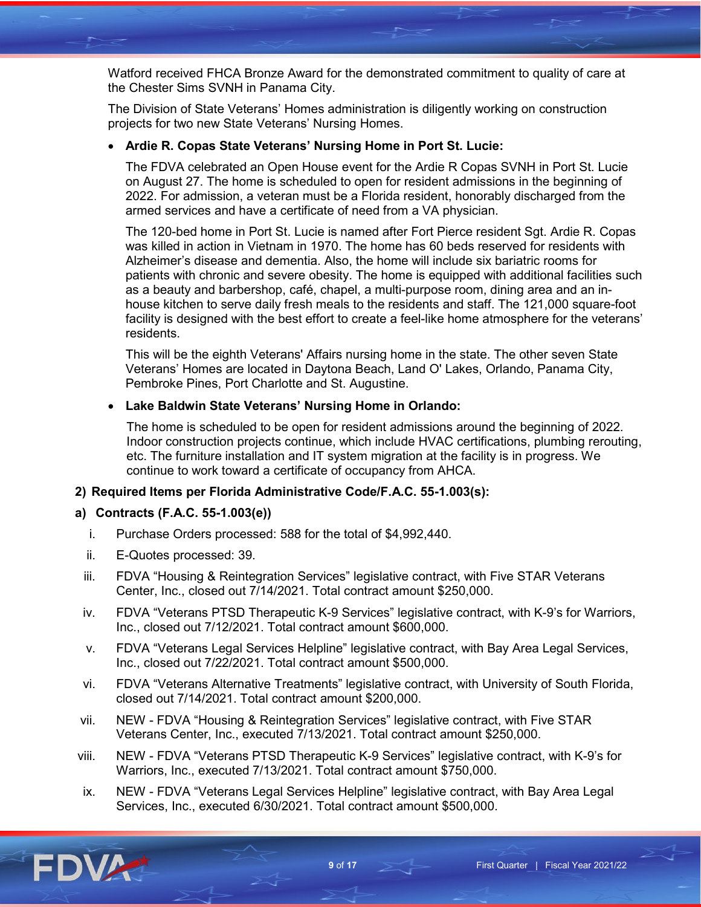Watford received FHCA Bronze Award for the demonstrated commitment to quality of care at the Chester Sims SVNH in Panama City.

The Division of State Veterans' Homes administration is diligently working on construction projects for two new State Veterans' Nursing Homes.

# • **Ardie R. Copas State Veterans' Nursing Home in Port St. Lucie:**

The FDVA celebrated an Open House event for the Ardie R Copas SVNH in Port St. Lucie on August 27. The home is scheduled to open for resident admissions in the beginning of 2022. For admission, a veteran must be a Florida resident, honorably discharged from the armed services and have a certificate of need from a VA physician.

The 120-bed home in Port St. Lucie is named after Fort Pierce resident Sgt. Ardie R. Copas was killed in action in Vietnam in 1970. The home has 60 beds reserved for residents with Alzheimer's disease and dementia. Also, the home will include six bariatric rooms for patients with chronic and severe obesity. The home is equipped with additional facilities such as a beauty and barbershop, café, chapel, a multi-purpose room, dining area and an inhouse kitchen to serve daily fresh meals to the residents and staff. The 121,000 square-foot facility is designed with the best effort to create a feel-like home atmosphere for the veterans' residents.

This will be the eighth Veterans' Affairs nursing home in the state. The other seven State Veterans' Homes are located in Daytona Beach, Land O' Lakes, Orlando, Panama City, Pembroke Pines, Port Charlotte and St. Augustine.

# • **Lake Baldwin State Veterans' Nursing Home in Orlando:**

The home is scheduled to be open for resident admissions around the beginning of 2022. Indoor construction projects continue, which include HVAC certifications, plumbing rerouting, etc. The furniture installation and IT system migration at the facility is in progress. We continue to work toward a certificate of occupancy from AHCA.

# **2) Required Items per Florida Administrative Code/F.A.C. 55-1.003(s):**

# **a) Contracts (F.A.C. 55-1.003(e))**

- i. Purchase Orders processed: 588 for the total of \$4,992,440.
- ii. E-Quotes processed: 39.
- iii. FDVA "Housing & Reintegration Services" legislative contract, with Five STAR Veterans Center, Inc., closed out 7/14/2021. Total contract amount \$250,000.
- iv. FDVA "Veterans PTSD Therapeutic K-9 Services" legislative contract, with K-9's for Warriors, Inc., closed out 7/12/2021. Total contract amount \$600,000.
- v. FDVA "Veterans Legal Services Helpline" legislative contract, with Bay Area Legal Services, Inc., closed out 7/22/2021. Total contract amount \$500,000.
- vi. FDVA "Veterans Alternative Treatments" legislative contract, with University of South Florida, closed out 7/14/2021. Total contract amount \$200,000.
- vii. NEW FDVA "Housing & Reintegration Services" legislative contract, with Five STAR Veterans Center, Inc., executed 7/13/2021. Total contract amount \$250,000.
- viii. NEW FDVA "Veterans PTSD Therapeutic K-9 Services" legislative contract, with K-9's for Warriors, Inc., executed 7/13/2021. Total contract amount \$750,000.
- ix. NEW FDVA "Veterans Legal Services Helpline" legislative contract, with Bay Area Legal Services, Inc., executed 6/30/2021. Total contract amount \$500,000.

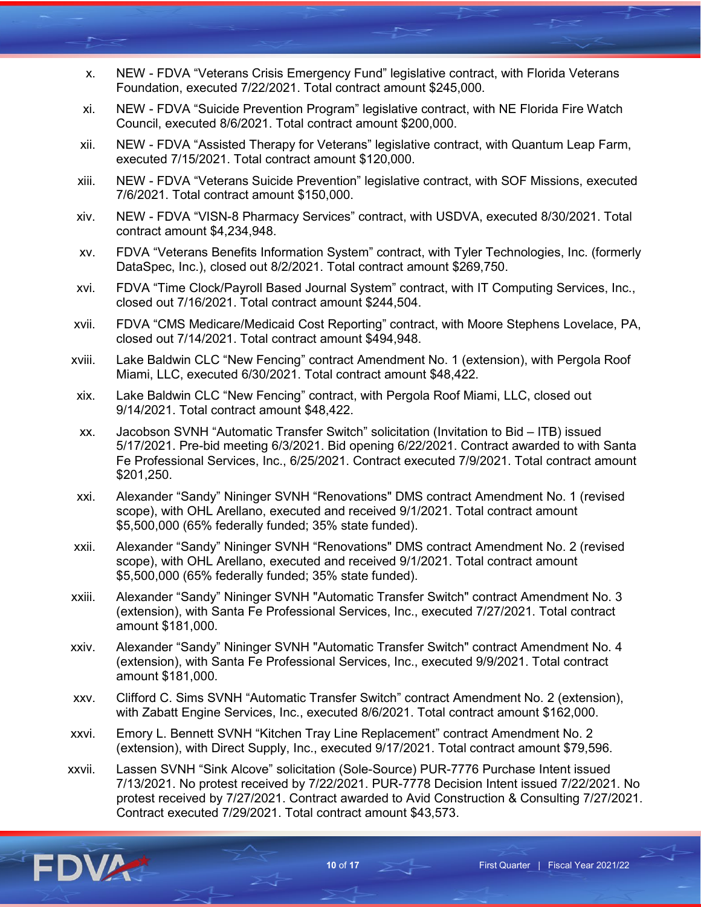- x. NEW FDVA "Veterans Crisis Emergency Fund" legislative contract, with Florida Veterans Foundation, executed 7/22/2021. Total contract amount \$245,000.
- xi. NEW FDVA "Suicide Prevention Program" legislative contract, with NE Florida Fire Watch Council, executed 8/6/2021. Total contract amount \$200,000.
- xii. NEW FDVA "Assisted Therapy for Veterans" legislative contract, with Quantum Leap Farm, executed 7/15/2021. Total contract amount \$120,000.
- xiii. NEW FDVA "Veterans Suicide Prevention" legislative contract, with SOF Missions, executed 7/6/2021. Total contract amount \$150,000.
- xiv. NEW FDVA "VISN-8 Pharmacy Services" contract, with USDVA, executed 8/30/2021. Total contract amount \$4,234,948.
- xv. FDVA "Veterans Benefits Information System" contract, with Tyler Technologies, Inc. (formerly DataSpec, Inc.), closed out 8/2/2021. Total contract amount \$269,750.
- xvi. FDVA "Time Clock/Payroll Based Journal System" contract, with IT Computing Services, Inc., closed out 7/16/2021. Total contract amount \$244,504.
- xvii. FDVA "CMS Medicare/Medicaid Cost Reporting" contract, with Moore Stephens Lovelace, PA, closed out 7/14/2021. Total contract amount \$494,948.
- xviii. Lake Baldwin CLC "New Fencing" contract Amendment No. 1 (extension), with Pergola Roof Miami, LLC, executed 6/30/2021. Total contract amount \$48,422.
- xix. Lake Baldwin CLC "New Fencing" contract, with Pergola Roof Miami, LLC, closed out 9/14/2021. Total contract amount \$48,422.
- xx. Jacobson SVNH "Automatic Transfer Switch" solicitation (Invitation to Bid ITB) issued 5/17/2021. Pre-bid meeting 6/3/2021. Bid opening 6/22/2021. Contract awarded to with Santa Fe Professional Services, Inc., 6/25/2021. Contract executed 7/9/2021. Total contract amount \$201,250.
- xxi. Alexander "Sandy" Nininger SVNH "Renovations" DMS contract Amendment No. 1 (revised scope), with OHL Arellano, executed and received 9/1/2021. Total contract amount \$5,500,000 (65% federally funded; 35% state funded).
- xxii. Alexander "Sandy" Nininger SVNH "Renovations" DMS contract Amendment No. 2 (revised scope), with OHL Arellano, executed and received 9/1/2021. Total contract amount \$5,500,000 (65% federally funded; 35% state funded).
- xxiii. Alexander "Sandy" Nininger SVNH "Automatic Transfer Switch" contract Amendment No. 3 (extension), with Santa Fe Professional Services, Inc., executed 7/27/2021. Total contract amount \$181,000.
- xxiv. Alexander "Sandy" Nininger SVNH "Automatic Transfer Switch" contract Amendment No. 4 (extension), with Santa Fe Professional Services, Inc., executed 9/9/2021. Total contract amount \$181,000.
- xxv. Clifford C. Sims SVNH "Automatic Transfer Switch" contract Amendment No. 2 (extension), with Zabatt Engine Services, Inc., executed 8/6/2021. Total contract amount \$162,000.
- xxvi. Emory L. Bennett SVNH "Kitchen Tray Line Replacement" contract Amendment No. 2 (extension), with Direct Supply, Inc., executed 9/17/2021. Total contract amount \$79,596.
- xxvii. Lassen SVNH "Sink Alcove" solicitation (Sole-Source) PUR-7776 Purchase Intent issued 7/13/2021. No protest received by 7/22/2021. PUR-7778 Decision Intent issued 7/22/2021. No protest received by 7/27/2021. Contract awarded to Avid Construction & Consulting 7/27/2021. Contract executed 7/29/2021. Total contract amount \$43,573.

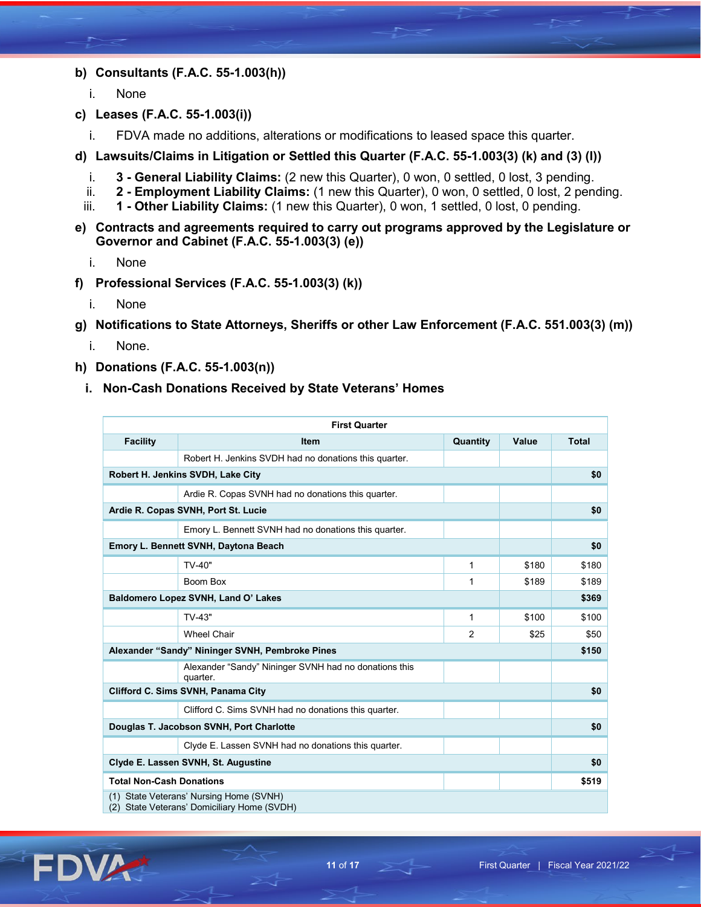- **b) Consultants (F.A.C. 55-1.003(h))**
	- i. None
- **c) Leases (F.A.C. 55-1.003(i))**
	- i. FDVA made no additions, alterations or modifications to leased space this quarter.
- **d) Lawsuits/Claims in Litigation or Settled this Quarter (F.A.C. 55-1.003(3) (k) and (3) (l))**
	- i. **3 - General Liability Claims:** (2 new this Quarter), 0 won, 0 settled, 0 lost, 3 pending.
	- ii. **2 - Employment Liability Claims:** (1 new this Quarter), 0 won, 0 settled, 0 lost, 2 pending.
	- iii. **1 - Other Liability Claims:** (1 new this Quarter), 0 won, 1 settled, 0 lost, 0 pending.
- **e) Contracts and agreements required to carry out programs approved by the Legislature or Governor and Cabinet (F.A.C. 55-1.003(3) (e))**
	- i. None
- **f) Professional Services (F.A.C. 55-1.003(3) (k))**
	- i. None
- **g) Notifications to State Attorneys, Sheriffs or other Law Enforcement (F.A.C. 551.003(3) (m))**
	- i. None.
- **h) Donations (F.A.C. 55-1.003(n))**
	- **i. Non-Cash Donations Received by State Veterans' Homes**

|                                                 | <b>First Quarter</b>                                                           |                |       |              |
|-------------------------------------------------|--------------------------------------------------------------------------------|----------------|-------|--------------|
| <b>Facility</b>                                 | <b>Item</b>                                                                    | Quantity       | Value | <b>Total</b> |
|                                                 | Robert H. Jenkins SVDH had no donations this quarter.                          |                |       |              |
|                                                 | Robert H. Jenkins SVDH, Lake City                                              |                |       | \$0          |
|                                                 | Ardie R. Copas SVNH had no donations this quarter.                             |                |       |              |
|                                                 | Ardie R. Copas SVNH, Port St. Lucie                                            |                |       | \$0          |
|                                                 | Emory L. Bennett SVNH had no donations this quarter.                           |                |       |              |
|                                                 | Emory L. Bennett SVNH, Daytona Beach                                           |                |       | \$0          |
|                                                 | TV-40"                                                                         | 1              | \$180 | \$180        |
|                                                 | Boom Box                                                                       | 1              | \$189 | \$189        |
|                                                 | Baldomero Lopez SVNH, Land O' Lakes                                            |                |       | \$369        |
|                                                 | TV-43"                                                                         | $\mathbf{1}$   | \$100 | \$100        |
|                                                 | <b>Wheel Chair</b>                                                             | $\overline{2}$ | \$25  | \$50         |
| Alexander "Sandy" Nininger SVNH, Pembroke Pines |                                                                                |                |       | \$150        |
|                                                 | Alexander "Sandy" Nininger SVNH had no donations this<br>quarter.              |                |       |              |
|                                                 | Clifford C. Sims SVNH, Panama City                                             |                |       | \$0          |
|                                                 | Clifford C. Sims SVNH had no donations this quarter.                           |                |       |              |
|                                                 | Douglas T. Jacobson SVNH, Port Charlotte                                       |                |       | \$0          |
|                                                 | Clyde E. Lassen SVNH had no donations this quarter.                            |                |       |              |
| Clyde E. Lassen SVNH, St. Augustine             |                                                                                |                |       | \$0          |
| <b>Total Non-Cash Donations</b>                 |                                                                                |                |       | \$519        |
| (1)<br>(2)                                      | State Veterans' Nursing Home (SVNH)<br>State Veterans' Domiciliary Home (SVDH) |                |       |              |

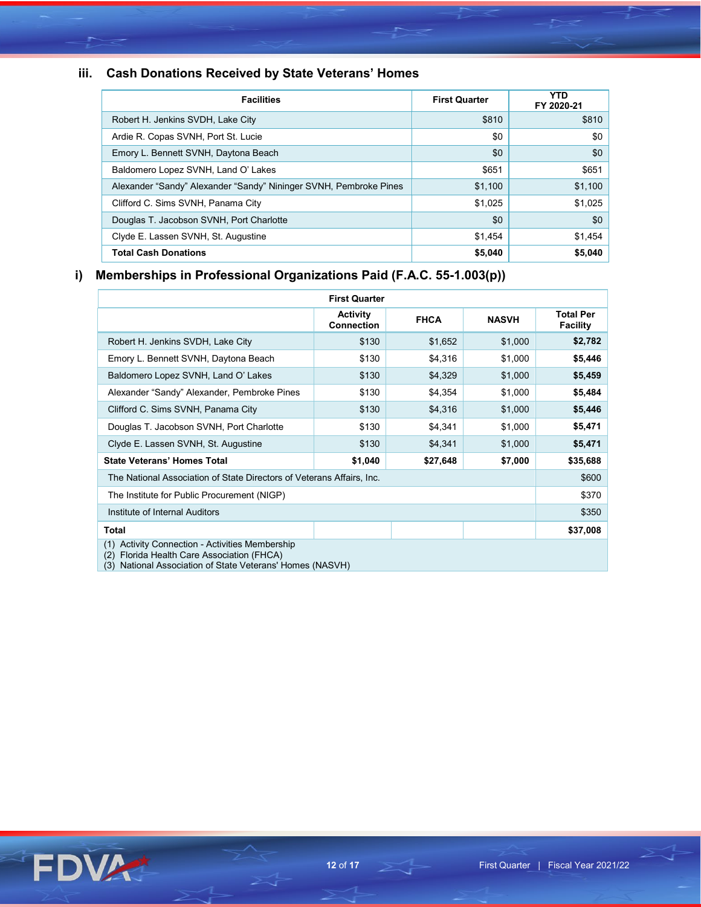# **iii. Cash Donations Received by State Veterans' Homes**

| <b>Facilities</b>                                                 | <b>First Quarter</b> | <b>YTD</b><br>FY 2020-21 |
|-------------------------------------------------------------------|----------------------|--------------------------|
| Robert H. Jenkins SVDH, Lake City                                 | \$810                | \$810                    |
| Ardie R. Copas SVNH, Port St. Lucie                               | \$0                  | \$0                      |
| Emory L. Bennett SVNH, Daytona Beach                              | \$0                  | \$0                      |
| Baldomero Lopez SVNH, Land O' Lakes                               | \$651                | \$651                    |
| Alexander "Sandy" Alexander "Sandy" Nininger SVNH, Pembroke Pines | \$1,100              | \$1,100                  |
| Clifford C. Sims SVNH, Panama City                                | \$1,025              | \$1,025                  |
| Douglas T. Jacobson SVNH, Port Charlotte                          | \$0                  | \$0                      |
| Clyde E. Lassen SVNH, St. Augustine                               | \$1,454              | \$1,454                  |
| <b>Total Cash Donations</b>                                       | \$5,040              | \$5,040                  |

# **i) Memberships in Professional Organizations Paid (F.A.C. 55-1.003(p))**

| <b>First Quarter</b>                                                                                |                                      |             |              |                                     |
|-----------------------------------------------------------------------------------------------------|--------------------------------------|-------------|--------------|-------------------------------------|
|                                                                                                     | <b>Activity</b><br><b>Connection</b> | <b>FHCA</b> | <b>NASVH</b> | <b>Total Per</b><br><b>Facility</b> |
| Robert H. Jenkins SVDH, Lake City                                                                   | \$130                                | \$1,652     | \$1,000      | \$2,782                             |
| Emory L. Bennett SVNH, Daytona Beach                                                                | \$130                                | \$4,316     | \$1,000      | \$5,446                             |
| Baldomero Lopez SVNH, Land O' Lakes                                                                 | \$130                                | \$4,329     | \$1,000      | \$5,459                             |
| Alexander "Sandy" Alexander, Pembroke Pines                                                         | \$130                                | \$4,354     | \$1,000      | \$5,484                             |
| Clifford C. Sims SVNH, Panama City                                                                  | \$130                                | \$4,316     | \$1,000      | \$5,446                             |
| Douglas T. Jacobson SVNH, Port Charlotte                                                            | \$130                                | \$4,341     | \$1,000      | \$5,471                             |
| Clyde E. Lassen SVNH, St. Augustine                                                                 | \$130                                | \$4,341     | \$1,000      | \$5,471                             |
| <b>State Veterans' Homes Total</b>                                                                  | \$1,040                              | \$27,648    | \$7,000      | \$35,688                            |
| The National Association of State Directors of Veterans Affairs, Inc.                               |                                      |             |              | \$600                               |
| The Institute for Public Procurement (NIGP)                                                         |                                      |             |              |                                     |
| Institute of Internal Auditors                                                                      |                                      |             |              | \$350                               |
| <b>Total</b>                                                                                        |                                      |             |              | \$37,008                            |
| Activity Connection - Activities Membership<br>(1)<br>(2)<br>Florida Health Care Association (FHCA) |                                      |             |              |                                     |

(3) National Association of State Veterans' Homes (NASVH)

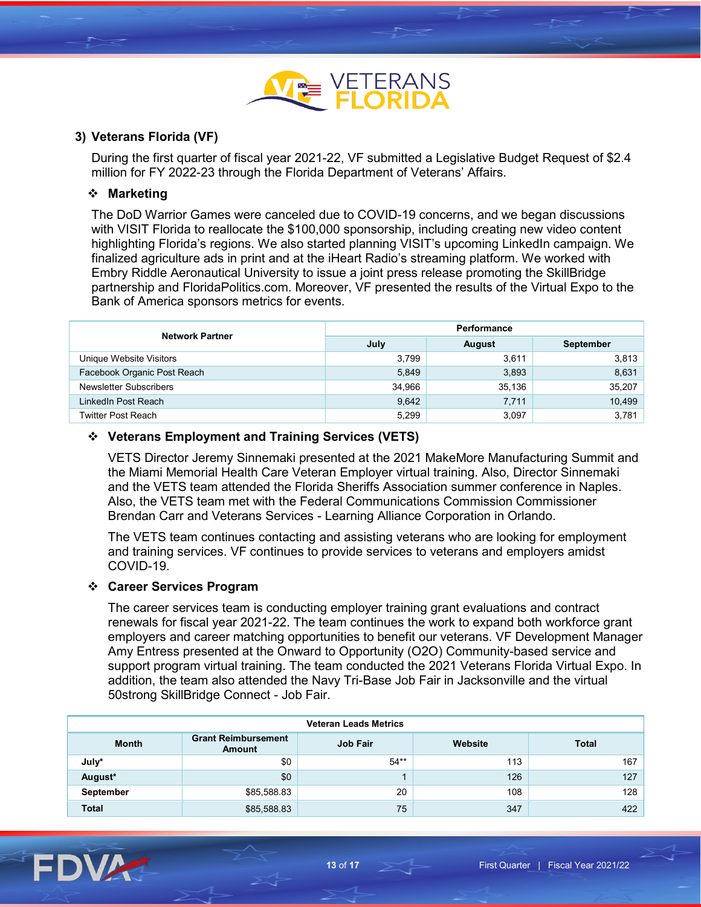

# **3) Veterans Florida (VF)**

During the first quarter of fiscal year 2021-22, VF submitted a Legislative Budget Request of \$2.4 million for FY 2022-23 through the Florida Department of Veterans' Affairs.

### **Marketing**

The DoD Warrior Games were canceled due to COVID-19 concerns, and we began discussions with VISIT Florida to reallocate the \$100,000 sponsorship, including creating new video content highlighting Florida's regions. We also started planning VISIT's upcoming LinkedIn campaign. We finalized agriculture ads in print and at the iHeart Radio's streaming platform. We worked with Embry Riddle Aeronautical University to issue a joint press release promoting the SkillBridge partnership and FloridaPolitics.com. Moreover, VF presented the results of the Virtual Expo to the Bank of America sponsors metrics for events.

| <b>Network Partner</b>      | Performance |               |           |  |
|-----------------------------|-------------|---------------|-----------|--|
|                             | July        | <b>August</b> | September |  |
| Unique Website Visitors     | 3.799       | 3.611         | 3,813     |  |
| Facebook Organic Post Reach | 5,849       | 3,893         | 8,631     |  |
| Newsletter Subscribers      | 34,966      | 35,136        | 35,207    |  |
| LinkedIn Post Reach         | 9,642       | 7,711         | 10,499    |  |
| Twitter Post Reach          | 5,299       | 3.097         | 3,781     |  |

### **Veterans Employment and Training Services (VETS)**

VETS Director Jeremy Sinnemaki presented at the 2021 MakeMore Manufacturing Summit and the Miami Memorial Health Care Veteran Employer virtual training. Also, Director Sinnemaki and the VETS team attended the Florida Sheriffs Association summer conference in Naples. Also, the VETS team met with the Federal Communications Commission Commissioner Brendan Carr and Veterans Services - Learning Alliance Corporation in Orlando.

The VETS team continues contacting and assisting veterans who are looking for employment and training services. VF continues to provide services to veterans and employers amidst COVID-19.

#### **Career Services Program**

The career services team is conducting employer training grant evaluations and contract renewals for fiscal year 2021-22. The team continues the work to expand both workforce grant employers and career matching opportunities to benefit our veterans. VF Development Manager Amy Entress presented at the Onward to Opportunity (O2O) Community-based service and support program virtual training. The team conducted the 2021 Veterans Florida Virtual Expo. In addition, the team also attended the Navy Tri-Base Job Fair in Jacksonville and the virtual 50strong SkillBridge Connect - Job Fair.

| <b>Veteran Leads Metrics</b> |                                             |                 |         |              |  |
|------------------------------|---------------------------------------------|-----------------|---------|--------------|--|
| <b>Month</b>                 | <b>Grant Reimbursement</b><br><b>Amount</b> | <b>Job Fair</b> | Website | <b>Total</b> |  |
| July*                        | \$0                                         | $54**$          | 113     | 167          |  |
| August*                      | \$0                                         |                 | 126     | 127          |  |
| September                    | \$85,588.83                                 | 20              | 108     | 128          |  |
| <b>Total</b>                 | \$85,588.83                                 | 75              | 347     | 422          |  |

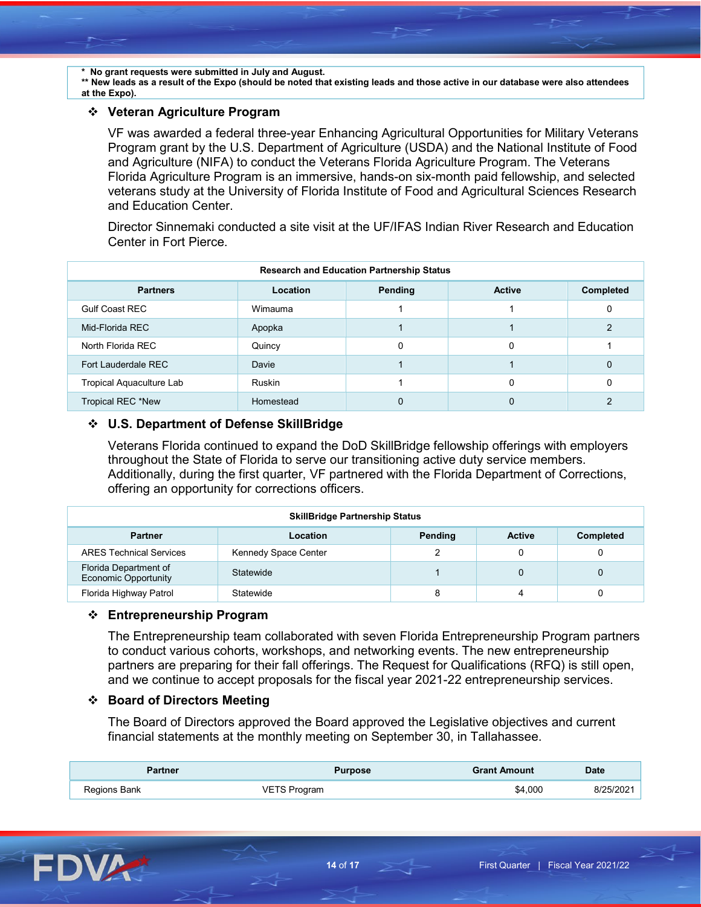**\* No grant requests were submitted in July and August.**

**\*\* New leads as a result of the Expo (should be noted that existing leads and those active in our database were also attendees at the Expo).**

#### **Veteran Agriculture Program**

VF was awarded a federal three-year Enhancing Agricultural Opportunities for Military Veterans Program grant by the U.S. Department of Agriculture (USDA) and the National Institute of Food and Agriculture (NIFA) to conduct the Veterans Florida Agriculture Program. The Veterans Florida Agriculture Program is an immersive, hands-on six-month paid fellowship, and selected veterans study at the University of Florida Institute of Food and Agricultural Sciences Research and Education Center.

Director Sinnemaki conducted a site visit at the UF/IFAS Indian River Research and Education Center in Fort Pierce.

| <b>Research and Education Partnership Status</b> |           |         |               |                  |
|--------------------------------------------------|-----------|---------|---------------|------------------|
| <b>Partners</b>                                  | Location  | Pending | <b>Active</b> | <b>Completed</b> |
| <b>Gulf Coast REC</b>                            | Wimauma   |         |               |                  |
| Mid-Florida REC                                  | Apopka    |         |               |                  |
| North Florida REC                                | Quincy    |         | 0             |                  |
| Fort Lauderdale REC                              | Davie     |         |               | 0                |
| Tropical Aquaculture Lab                         | Ruskin    |         | 0             |                  |
| Tropical REC *New                                | Homestead |         |               |                  |

#### **U.S. Department of Defense SkillBridge**

Veterans Florida continued to expand the DoD SkillBridge fellowship offerings with employers throughout the State of Florida to serve our transitioning active duty service members. Additionally, during the first quarter, VF partnered with the Florida Department of Corrections, offering an opportunity for corrections officers.

| <b>SkillBridge Partnership Status</b>                |                      |         |               |                  |
|------------------------------------------------------|----------------------|---------|---------------|------------------|
| <b>Partner</b>                                       | Location             | Pending | <b>Active</b> | <b>Completed</b> |
| <b>ARES Technical Services</b>                       | Kennedy Space Center |         |               |                  |
| Florida Department of<br><b>Economic Opportunity</b> | Statewide            |         | $\Omega$      |                  |
| Florida Highway Patrol                               | Statewide            | 8       | 4             |                  |

#### **Entrepreneurship Program**

The Entrepreneurship team collaborated with seven Florida Entrepreneurship Program partners to conduct various cohorts, workshops, and networking events. The new entrepreneurship partners are preparing for their fall offerings. The Request for Qualifications (RFQ) is still open, and we continue to accept proposals for the fiscal year 2021-22 entrepreneurship services.

#### **Board of Directors Meeting**

The Board of Directors approved the Board approved the Legislative objectives and current financial statements at the monthly meeting on September 30, in Tallahassee.

| artner       | Purpose   | <b>Frant Amount</b> | <b>Date</b> |
|--------------|-----------|---------------------|-------------|
| Regions Bank | ె Program | \$4.000             | יחכיו.      |

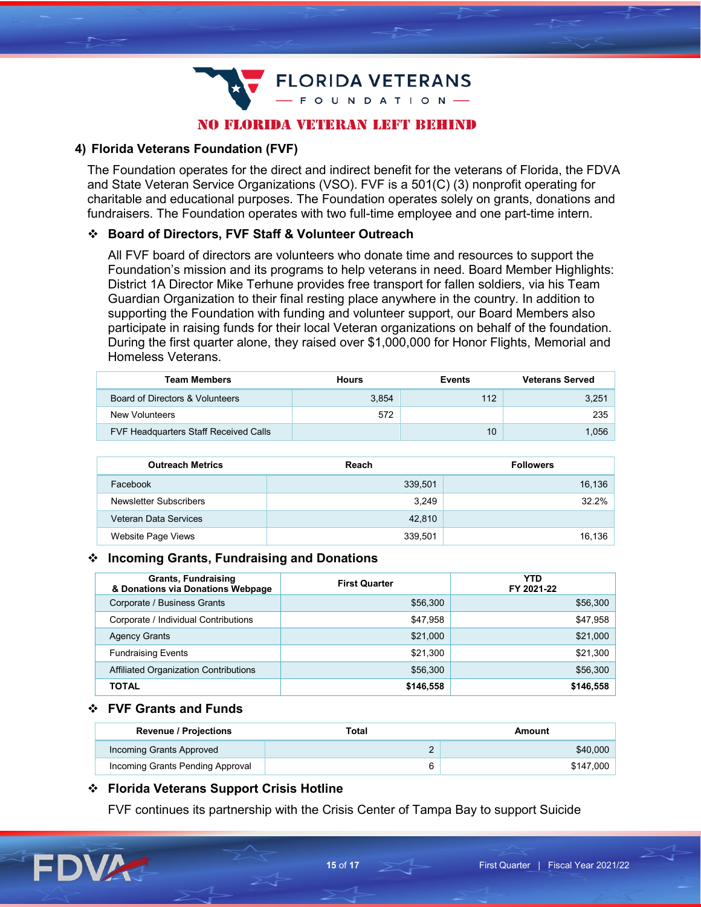**FLORIDA VETERANS** FOUNDATION-

# NO FLORIDA VETERAN LEFT BEHIND

# **4) Florida Veterans Foundation (FVF)**

The Foundation operates for the direct and indirect benefit for the veterans of Florida, the FDVA and State Veteran Service Organizations (VSO). FVF is a 501(C) (3) nonprofit operating for charitable and educational purposes. The Foundation operates solely on grants, donations and fundraisers. The Foundation operates with two full-time employee and one part-time intern.

#### **Board of Directors, FVF Staff & Volunteer Outreach**

All FVF board of directors are volunteers who donate time and resources to support the Foundation's mission and its programs to help veterans in need. Board Member Highlights: District 1A Director Mike Terhune provides free transport for fallen soldiers, via his Team Guardian Organization to their final resting place anywhere in the country. In addition to supporting the Foundation with funding and volunteer support, our Board Members also participate in raising funds for their local Veteran organizations on behalf of the foundation. During the first quarter alone, they raised over \$1,000,000 for Honor Flights, Memorial and Homeless Veterans.

| <b>Team Members</b>                          | <b>Hours</b> | <b>Events</b> | <b>Veterans Served</b> |
|----------------------------------------------|--------------|---------------|------------------------|
| Board of Directors & Volunteers              | 3,854        | 112           | 3,251                  |
| New Volunteers                               | 572          |               | 235                    |
| <b>FVF Headquarters Staff Received Calls</b> |              | 10            | .056                   |

| <b>Outreach Metrics</b> | Reach   | <b>Followers</b> |
|-------------------------|---------|------------------|
| Facebook                | 339,501 | 16,136           |
| Newsletter Subscribers  | 3.249   | 32.2%            |
| Veteran Data Services   | 42.810  |                  |
| Website Page Views      | 339,501 | 16,136           |

#### **Incoming Grants, Fundraising and Donations**

| <b>Grants, Fundraising</b><br>& Donations via Donations Webpage | <b>First Quarter</b> | YTD<br>FY 2021-22 |
|-----------------------------------------------------------------|----------------------|-------------------|
| Corporate / Business Grants                                     | \$56,300             | \$56,300          |
| Corporate / Individual Contributions                            | \$47,958             | \$47,958          |
| <b>Agency Grants</b>                                            | \$21,000             | \$21,000          |
| <b>Fundraising Events</b>                                       | \$21,300             | \$21,300          |
| Affiliated Organization Contributions                           | \$56,300             | \$56,300          |
| TOTAL                                                           | \$146,558            | \$146,558         |

#### **FVF Grants and Funds**

| <b>Revenue / Projections</b>     | Total | Amount    |
|----------------------------------|-------|-----------|
| Incoming Grants Approved         |       | \$40,000  |
| Incoming Grants Pending Approval | n     | \$147.000 |

#### **Florida Veterans Support Crisis Hotline**

FVF continues its partnership with the Crisis Center of Tampa Bay to support Suicide

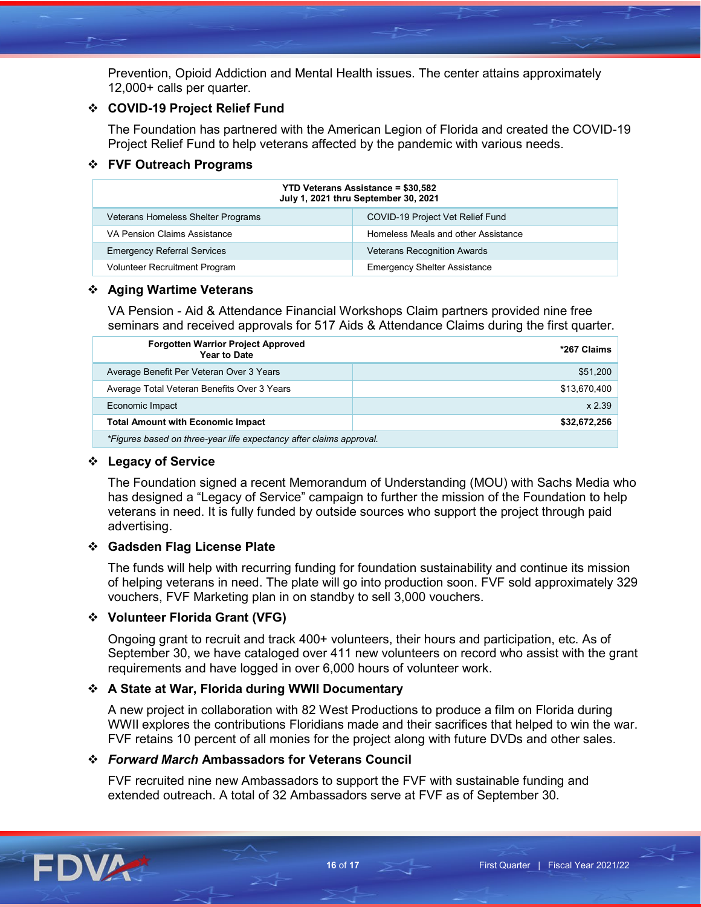Prevention, Opioid Addiction and Mental Health issues. The center attains approximately 12,000+ calls per quarter.

# **COVID-19 Project Relief Fund**

The Foundation has partnered with the American Legion of Florida and created the COVID-19 Project Relief Fund to help veterans affected by the pandemic with various needs.

# **FVF Outreach Programs**

| <b>YTD Veterans Assistance = \$30,582</b><br>July 1, 2021 thru September 30, 2021 |                                     |  |
|-----------------------------------------------------------------------------------|-------------------------------------|--|
| Veterans Homeless Shelter Programs                                                | COVID-19 Project Vet Relief Fund    |  |
| VA Pension Claims Assistance                                                      | Homeless Meals and other Assistance |  |
| <b>Emergency Referral Services</b>                                                | <b>Veterans Recognition Awards</b>  |  |
| <b>Volunteer Recruitment Program</b>                                              | <b>Emergency Shelter Assistance</b> |  |

# **Aging Wartime Veterans**

VA Pension - Aid & Attendance Financial Workshops Claim partners provided nine free seminars and received approvals for 517 Aids & Attendance Claims during the first quarter.

| <b>Forgotten Warrior Project Approved</b><br><b>Year to Date</b>    | *267 Claims  |
|---------------------------------------------------------------------|--------------|
| Average Benefit Per Veteran Over 3 Years                            | \$51,200     |
| Average Total Veteran Benefits Over 3 Years                         | \$13,670,400 |
| Economic Impact                                                     | $x$ 2.39     |
| <b>Total Amount with Economic Impact</b>                            | \$32,672,256 |
| *Figures based on three-year life expectancy after claims approval. |              |

# **Legacy of Service**

The Foundation signed a recent Memorandum of Understanding (MOU) with Sachs Media who has designed a "Legacy of Service" campaign to further the mission of the Foundation to help veterans in need. It is fully funded by outside sources who support the project through paid advertising.

# **Gadsden Flag License Plate**

The funds will help with recurring funding for foundation sustainability and continue its mission of helping veterans in need. The plate will go into production soon. FVF sold approximately 329 vouchers, FVF Marketing plan in on standby to sell 3,000 vouchers.

# **Volunteer Florida Grant (VFG)**

Ongoing grant to recruit and track 400+ volunteers, their hours and participation, etc. As of September 30, we have cataloged over 411 new volunteers on record who assist with the grant requirements and have logged in over 6,000 hours of volunteer work.

# **A State at War, Florida during WWII Documentary**

A new project in collaboration with 82 West Productions to produce a film on Florida during WWII explores the contributions Floridians made and their sacrifices that helped to win the war. FVF retains 10 percent of all monies for the project along with future DVDs and other sales.

# *Forward March* **Ambassadors for Veterans Council**

FVF recruited nine new Ambassadors to support the FVF with sustainable funding and extended outreach. A total of 32 Ambassadors serve at FVF as of September 30.